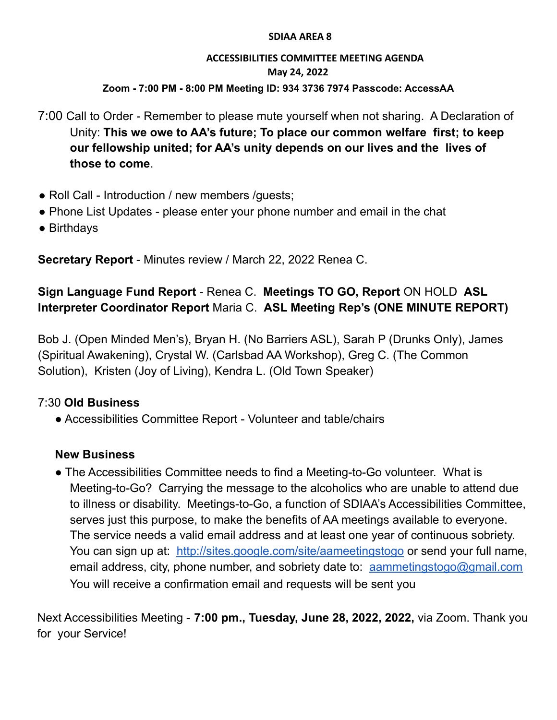#### **SDIAA AREA 8**

### **ACCESSIBILITIES COMMITTEE MEETING AGENDA May 24, 2022 Zoom - 7:00 PM - 8:00 PM Meeting ID: 934 3736 7974 Passcode: AccessAA**

7:00 Call to Order - Remember to please mute yourself when not sharing. A Declaration of Unity: **This we owe to AA's future; To place our common welfare first; to keep our fellowship united; for AA's unity depends on our lives and the lives of those to come**.

- Roll Call Introduction / new members /quests;
- Phone List Updates please enter your phone number and email in the chat
- Birthdays

**Secretary Report** - Minutes review / March 22, 2022 Renea C.

# **Sign Language Fund Report** - Renea C. **Meetings TO GO, Report** ON HOLD **ASL Interpreter Coordinator Report** Maria C. **ASL Meeting Rep's (ONE MINUTE REPORT)**

Bob J. (Open Minded Men's), Bryan H. (No Barriers ASL), Sarah P (Drunks Only), James (Spiritual Awakening), Crystal W. (Carlsbad AA Workshop), Greg C. (The Common Solution), Kristen (Joy of Living), Kendra L. (Old Town Speaker)

# 7:30 **Old Business**

● Accessibilities Committee Report - Volunteer and table/chairs

# **New Business**

● The Accessibilities Committee needs to find a Meeting-to-Go volunteer. What is Meeting-to-Go? Carrying the message to the alcoholics who are unable to attend due to illness or disability. Meetings-to-Go, a function of SDIAA's Accessibilities Committee, serves just this purpose, to make the benefits of AA meetings available to everyone. The service needs a valid email address and at least one year of continuous sobriety. You can sign up at: <http://sites.google.com/site/aameetingstogo> or send your full name, email address, city, phone number, and sobriety date to: [aammetingstogo@gmail.com](mailto:aammetingstogo@gmail.com) You will receive a confirmation email and requests will be sent you

Next Accessibilities Meeting - **7:00 pm., Tuesday, June 28, 2022, 2022,** via Zoom. Thank you for your Service!